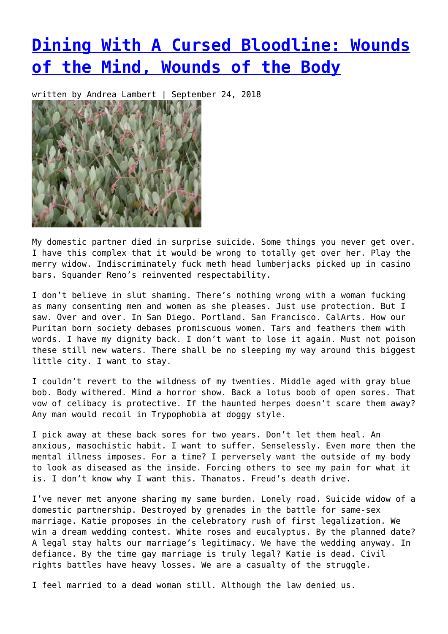## **[Dining With A Cursed Bloodline: Wounds](https://entropymag.org/dining-with-a-cursed-bloodline-wounds-of-the-mind-wounds-of-the-body/) [of the Mind, Wounds of the Body](https://entropymag.org/dining-with-a-cursed-bloodline-wounds-of-the-mind-wounds-of-the-body/)**

written by Andrea Lambert | September 24, 2018



My domestic partner died in surprise suicide. Some things you never get over. I have this complex that it would be wrong to totally get over her. Play the merry widow. Indiscriminately fuck meth head lumberjacks picked up in casino bars. Squander Reno's reinvented respectability.

I don't believe in slut shaming. There's nothing wrong with a woman fucking as many consenting men and women as she pleases. Just use protection. But I saw. Over and over. In San Diego. Portland. San Francisco. CalArts. How our Puritan born society debases promiscuous women. Tars and feathers them with words. I have my dignity back. I don't want to lose it again. Must not poison these still new waters. There shall be no sleeping my way around this biggest little city. I want to stay.

I couldn't revert to the wildness of my twenties. Middle aged with gray blue bob. Body withered. Mind a horror show. Back a lotus boob of open sores. That vow of celibacy is protective. If the haunted herpes doesn't scare them away? Any man would recoil in Trypophobia at doggy style.

I pick away at these back sores for two years. Don't let them heal. An anxious, masochistic habit. I want to suffer. Senselessly. Even more then the mental illness imposes. For a time? I perversely want the outside of my body to look as diseased as the inside. Forcing others to see my pain for what it is. I don't know why I want this. Thanatos. Freud's death drive.

I've never met anyone sharing my same burden. Lonely road. Suicide widow of a domestic partnership. Destroyed by grenades in the battle for same-sex marriage. Katie proposes in the celebratory rush of first legalization. We win a dream wedding contest. White roses and eucalyptus. By the planned date? A legal stay halts our marriage's legitimacy. We have the wedding anyway. In defiance. By the time gay marriage is truly legal? Katie is dead. Civil rights battles have heavy losses. We are a casualty of the struggle.

I feel married to a dead woman still. Although the law denied us.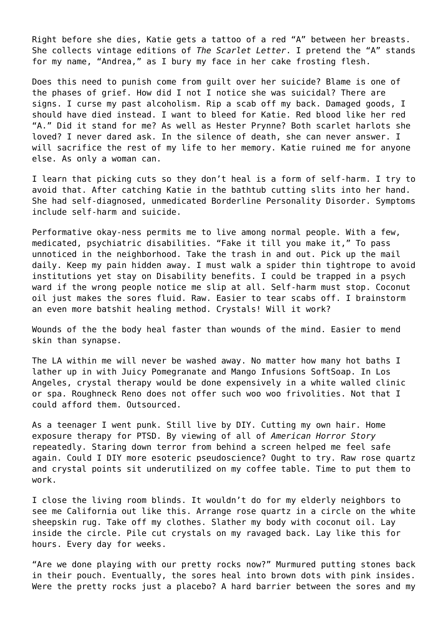Right before she dies, Katie gets a tattoo of a red "A" between her breasts. She collects vintage editions of *The Scarlet Letter*. I pretend the "A" stands for my name, "Andrea," as I bury my face in her cake frosting flesh.

Does this need to punish come from guilt over her suicide? Blame is one of the phases of grief. How did I not I notice she was suicidal? There are signs. I curse my past alcoholism. Rip a scab off my back. Damaged goods, I should have died instead. I want to bleed for Katie. Red blood like her red "A." Did it stand for me? As well as Hester Prynne? Both scarlet harlots she loved? I never dared ask. In the silence of death, she can never answer. I will sacrifice the rest of my life to her memory. Katie ruined me for anyone else. As only a woman can.

I learn that picking cuts so they don't heal is a form of self-harm. I try to avoid that. After catching Katie in the bathtub cutting slits into her hand. She had self-diagnosed, unmedicated Borderline Personality Disorder. Symptoms include self-harm and suicide.

Performative okay-ness permits me to live among normal people. With a few, medicated, psychiatric disabilities. "Fake it till you make it," To pass unnoticed in the neighborhood. Take the trash in and out. Pick up the mail daily. Keep my pain hidden away. I must walk a spider thin tightrope to avoid institutions yet stay on Disability benefits. I could be trapped in a psych ward if the wrong people notice me slip at all. Self-harm must stop. Coconut oil just makes the sores fluid. Raw. Easier to tear scabs off. I brainstorm an even more batshit healing method. Crystals! Will it work?

Wounds of the the body heal faster than wounds of the mind. Easier to mend skin than synapse.

The LA within me will never be washed away. No matter how many hot baths I lather up in with Juicy Pomegranate and Mango Infusions SoftSoap. In Los Angeles, crystal therapy would be done expensively in a white walled clinic or spa. Roughneck Reno does not offer such woo woo frivolities. Not that I could afford them. Outsourced.

As a teenager I went punk. Still live by DIY. Cutting my own hair. Home exposure therapy for PTSD. By viewing of all of *American Horror Story* repeatedly. Staring down terror from behind a screen helped me feel safe again. Could I DIY more esoteric pseudoscience? Ought to try. Raw rose quartz and crystal points sit underutilized on my coffee table. Time to put them to work.

I close the living room blinds. It wouldn't do for my elderly neighbors to see me California out like this. Arrange rose quartz in a circle on the white sheepskin rug. Take off my clothes. Slather my body with coconut oil. Lay inside the circle. Pile cut crystals on my ravaged back. Lay like this for hours. Every day for weeks.

"Are we done playing with our pretty rocks now?" Murmured putting stones back in their pouch. Eventually, the sores heal into brown dots with pink insides. Were the pretty rocks just a placebo? A hard barrier between the sores and my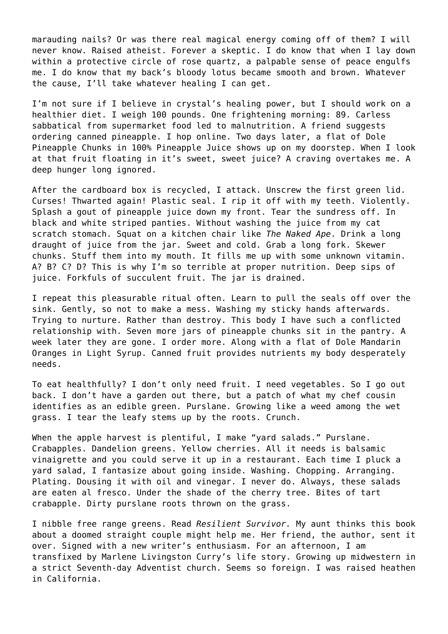marauding nails? Or was there real magical energy coming off of them? I will never know. Raised atheist. Forever a skeptic. I do know that when I lay down within a protective circle of rose quartz, a palpable sense of peace engulfs me. I do know that my back's bloody lotus became smooth and brown. Whatever the cause, I'll take whatever healing I can get.

I'm not sure if I believe in crystal's healing power, but I should work on a healthier diet. I weigh 100 pounds. One frightening morning: 89. Carless sabbatical from supermarket food led to malnutrition. A friend suggests ordering canned pineapple. I hop online. Two days later, a flat of Dole Pineapple Chunks in 100% Pineapple Juice shows up on my doorstep. When I look at that fruit floating in it's sweet, sweet juice? A craving overtakes me. A deep hunger long ignored.

After the cardboard box is recycled, I attack. Unscrew the first green lid. Curses! Thwarted again! Plastic seal. I rip it off with my teeth. Violently. Splash a gout of pineapple juice down my front. Tear the sundress off. In black and white striped panties. Without washing the juice from my cat scratch stomach. Squat on a kitchen chair like *The Naked Ape*. Drink a long draught of juice from the jar. Sweet and cold. Grab a long fork. Skewer chunks. Stuff them into my mouth. It fills me up with some unknown vitamin. A? B? C? D? This is why I'm so terrible at proper nutrition. Deep sips of juice. Forkfuls of succulent fruit. The jar is drained.

I repeat this pleasurable ritual often. Learn to pull the seals off over the sink. Gently, so not to make a mess. Washing my sticky hands afterwards. Trying to nurture. Rather than destroy. This body I have such a conflicted relationship with. Seven more jars of pineapple chunks sit in the pantry. A week later they are gone. I order more. Along with a flat of Dole Mandarin Oranges in Light Syrup. Canned fruit provides nutrients my body desperately needs.

To eat healthfully? I don't only need fruit. I need vegetables. So I go out back. I don't have a garden out there, but a patch of what my chef cousin identifies as an edible green. Purslane. Growing like a weed among the wet grass. I tear the leafy stems up by the roots. Crunch.

When the apple harvest is plentiful, I make "yard salads." Purslane. Crabapples. Dandelion greens. Yellow cherries. All it needs is balsamic vinaigrette and you could serve it up in a restaurant. Each time I pluck a yard salad, I fantasize about going inside. Washing. Chopping. Arranging. Plating. Dousing it with oil and vinegar. I never do. Always, these salads are eaten al fresco. Under the shade of the cherry tree. Bites of tart crabapple. Dirty purslane roots thrown on the grass.

I nibble free range greens. Read *Resilient Survivor.* My aunt thinks this book about a doomed straight couple might help me. Her friend, the author, sent it over. Signed with a new writer's enthusiasm. For an afternoon, I am transfixed by Marlene Livingston Curry's life story. Growing up midwestern in a strict Seventh-day Adventist church. Seems so foreign. I was raised heathen in California.